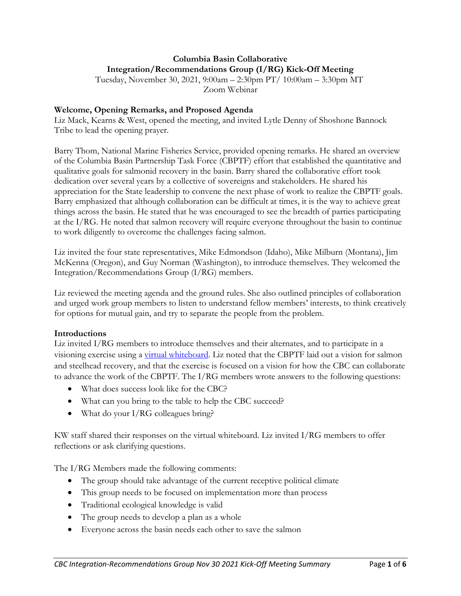# **Columbia Basin Collaborative Integration/Recommendations Group (I/RG) Kick-Off Meeting**

Tuesday, November 30, 2021, 9:00am – 2:30pm PT/ 10:00am – 3:30pm MT Zoom Webinar

#### **Welcome, Opening Remarks, and Proposed Agenda**

Liz Mack, Kearns & West, opened the meeting, and invited Lytle Denny of Shoshone Bannock Tribe to lead the opening prayer.

Barry Thom, National Marine Fisheries Service, provided opening remarks. He shared an overview of the Columbia Basin Partnership Task Force (CBPTF) effort that established the quantitative and qualitative goals for salmonid recovery in the basin. Barry shared the collaborative effort took dedication over several years by a collective of sovereigns and stakeholders. He shared his appreciation for the State leadership to convene the next phase of work to realize the CBPTF goals. Barry emphasized that although collaboration can be difficult at times, it is the way to achieve great things across the basin. He stated that he was encouraged to see the breadth of parties participating at the I/RG. He noted that salmon recovery will require everyone throughout the basin to continue to work diligently to overcome the challenges facing salmon.

Liz invited the four state representatives, Mike Edmondson (Idaho), Mike Milburn (Montana), Jim McKenna (Oregon), and Guy Norman (Washington), to introduce themselves. They welcomed the Integration/Recommendations Group (I/RG) members.

Liz reviewed the meeting agenda and the ground rules. She also outlined principles of collaboration and urged work group members to listen to understand fellow members' interests, to think creatively for options for mutual gain, and try to separate the people from the problem.

#### **Introductions**

Liz invited I/RG members to introduce themselves and their alternates, and to participate in a visioning exercise using a [virtual whiteboard.](https://jamboard.google.com/d/1ziKXFGboW4j5C2p0cjenBfZZUb9ADe7swe5DqvzFK8A/edit?usp=sharing) Liz noted that the CBPTF laid out a vision for salmon and steelhead recovery, and that the exercise is focused on a vision for how the CBC can collaborate to advance the work of the CBPTF. The I/RG members wrote answers to the following questions:

- What does success look like for the CBC?
- What can you bring to the table to help the CBC succeed?
- What do your I/RG colleagues bring?

KW staff shared their responses on the virtual whiteboard. Liz invited I/RG members to offer reflections or ask clarifying questions.

The I/RG Members made the following comments:

- The group should take advantage of the current receptive political climate
- This group needs to be focused on implementation more than process
- Traditional ecological knowledge is valid
- The group needs to develop a plan as a whole
- Everyone across the basin needs each other to save the salmon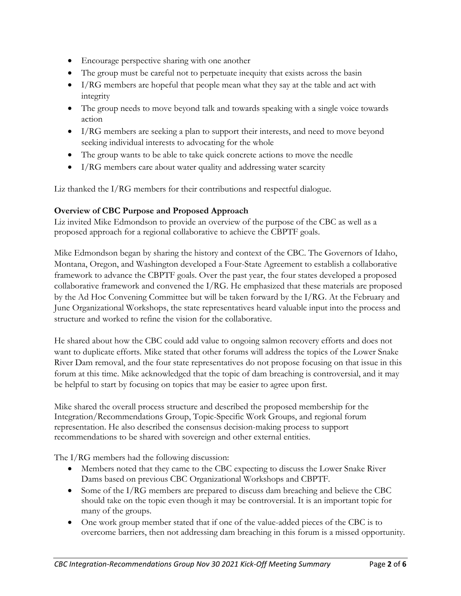- Encourage perspective sharing with one another
- The group must be careful not to perpetuate inequity that exists across the basin
- I/RG members are hopeful that people mean what they say at the table and act with integrity
- The group needs to move beyond talk and towards speaking with a single voice towards action
- I/RG members are seeking a plan to support their interests, and need to move beyond seeking individual interests to advocating for the whole
- The group wants to be able to take quick concrete actions to move the needle
- I/RG members care about water quality and addressing water scarcity

Liz thanked the I/RG members for their contributions and respectful dialogue.

## **Overview of CBC Purpose and Proposed Approach**

Liz invited Mike Edmondson to provide an overview of the purpose of the CBC as well as a proposed approach for a regional collaborative to achieve the CBPTF goals.

Mike Edmondson began by sharing the history and context of the CBC. The Governors of Idaho, Montana, Oregon, and Washington developed a Four-State Agreement to establish a collaborative framework to advance the CBPTF goals. Over the past year, the four states developed a proposed collaborative framework and convened the I/RG. He emphasized that these materials are proposed by the Ad Hoc Convening Committee but will be taken forward by the I/RG. At the February and June Organizational Workshops, the state representatives heard valuable input into the process and structure and worked to refine the vision for the collaborative.

He shared about how the CBC could add value to ongoing salmon recovery efforts and does not want to duplicate efforts. Mike stated that other forums will address the topics of the Lower Snake River Dam removal, and the four state representatives do not propose focusing on that issue in this forum at this time. Mike acknowledged that the topic of dam breaching is controversial, and it may be helpful to start by focusing on topics that may be easier to agree upon first.

Mike shared the overall process structure and described the proposed membership for the Integration/Recommendations Group, Topic-Specific Work Groups, and regional forum representation. He also described the consensus decision-making process to support recommendations to be shared with sovereign and other external entities.

The I/RG members had the following discussion:

- Members noted that they came to the CBC expecting to discuss the Lower Snake River Dams based on previous CBC Organizational Workshops and CBPTF.
- Some of the I/RG members are prepared to discuss dam breaching and believe the CBC should take on the topic even though it may be controversial. It is an important topic for many of the groups.
- One work group member stated that if one of the value-added pieces of the CBC is to overcome barriers, then not addressing dam breaching in this forum is a missed opportunity.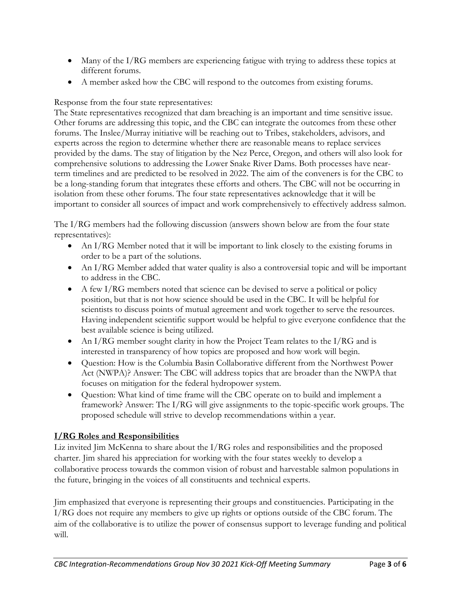- Many of the I/RG members are experiencing fatigue with trying to address these topics at different forums.
- A member asked how the CBC will respond to the outcomes from existing forums.

## Response from the four state representatives:

The State representatives recognized that dam breaching is an important and time sensitive issue. Other forums are addressing this topic, and the CBC can integrate the outcomes from these other forums. The Inslee/Murray initiative will be reaching out to Tribes, stakeholders, advisors, and experts across the region to determine whether there are reasonable means to replace services provided by the dams. The stay of litigation by the Nez Perce, Oregon, and others will also look for comprehensive solutions to addressing the Lower Snake River Dams. Both processes have nearterm timelines and are predicted to be resolved in 2022. The aim of the conveners is for the CBC to be a long-standing forum that integrates these efforts and others. The CBC will not be occurring in isolation from these other forums. The four state representatives acknowledge that it will be important to consider all sources of impact and work comprehensively to effectively address salmon.

The I/RG members had the following discussion (answers shown below are from the four state representatives):

- An I/RG Member noted that it will be important to link closely to the existing forums in order to be a part of the solutions.
- An I/RG Member added that water quality is also a controversial topic and will be important to address in the CBC.
- $\bullet$  A few I/RG members noted that science can be devised to serve a political or policy position, but that is not how science should be used in the CBC. It will be helpful for scientists to discuss points of mutual agreement and work together to serve the resources. Having independent scientific support would be helpful to give everyone confidence that the best available science is being utilized.
- An I/RG member sought clarity in how the Project Team relates to the I/RG and is interested in transparency of how topics are proposed and how work will begin.
- Question: How is the Columbia Basin Collaborative different from the Northwest Power Act (NWPA)? Answer: The CBC will address topics that are broader than the NWPA that focuses on mitigation for the federal hydropower system.
- Question: What kind of time frame will the CBC operate on to build and implement a framework? Answer: The I/RG will give assignments to the topic-specific work groups. The proposed schedule will strive to develop recommendations within a year.

# **I/RG Roles and Responsibilities**

Liz invited Jim McKenna to share about the I/RG roles and responsibilities and the proposed charter. Jim shared his appreciation for working with the four states weekly to develop a collaborative process towards the common vision of robust and harvestable salmon populations in the future, bringing in the voices of all constituents and technical experts.

Jim emphasized that everyone is representing their groups and constituencies. Participating in the I/RG does not require any members to give up rights or options outside of the CBC forum. The aim of the collaborative is to utilize the power of consensus support to leverage funding and political will.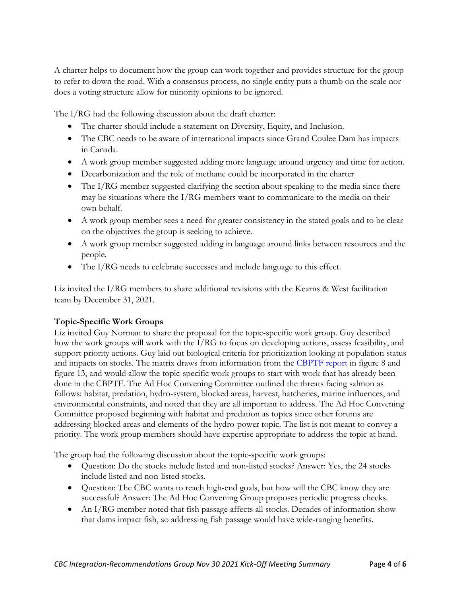A charter helps to document how the group can work together and provides structure for the group to refer to down the road. With a consensus process, no single entity puts a thumb on the scale nor does a voting structure allow for minority opinions to be ignored.

The I/RG had the following discussion about the draft charter:

- The charter should include a statement on Diversity, Equity, and Inclusion.
- The CBC needs to be aware of international impacts since Grand Coulee Dam has impacts in Canada.
- A work group member suggested adding more language around urgency and time for action.
- Decarbonization and the role of methane could be incorporated in the charter
- The I/RG member suggested clarifying the section about speaking to the media since there may be situations where the I/RG members want to communicate to the media on their own behalf.
- A work group member sees a need for greater consistency in the stated goals and to be clear on the objectives the group is seeking to achieve.
- A work group member suggested adding in language around links between resources and the people.
- The I/RG needs to celebrate successes and include language to this effect.

Liz invited the I/RG members to share additional revisions with the Kearns & West facilitation team by December 31, 2021.

### **Topic-Specific Work Groups**

Liz invited Guy Norman to share the proposal for the topic-specific work group. Guy described how the work groups will work with the I/RG to focus on developing actions, assess feasibility, and support priority actions. Guy laid out biological criteria for prioritization looking at population status and impacts on stocks. The matrix draws from information from the [CBPTF report](https://s3.amazonaws.com/media.fisheries.noaa.gov/2020-10/MAFAC_CRB_Phase2ReportFinal_508.pdf?null) in figure 8 and figure 13, and would allow the topic-specific work groups to start with work that has already been done in the CBPTF. The Ad Hoc Convening Committee outlined the threats facing salmon as follows: habitat, predation, hydro-system, blocked areas, harvest, hatcheries, marine influences, and environmental constraints, and noted that they are all important to address. The Ad Hoc Convening Committee proposed beginning with habitat and predation as topics since other forums are addressing blocked areas and elements of the hydro-power topic. The list is not meant to convey a priority. The work group members should have expertise appropriate to address the topic at hand.

The group had the following discussion about the topic-specific work groups:

- Question: Do the stocks include listed and non-listed stocks? Answer: Yes, the 24 stocks include listed and non-listed stocks.
- Question: The CBC wants to reach high-end goals, but how will the CBC know they are successful? Answer: The Ad Hoc Convening Group proposes periodic progress checks.
- An I/RG member noted that fish passage affects all stocks. Decades of information show that dams impact fish, so addressing fish passage would have wide-ranging benefits.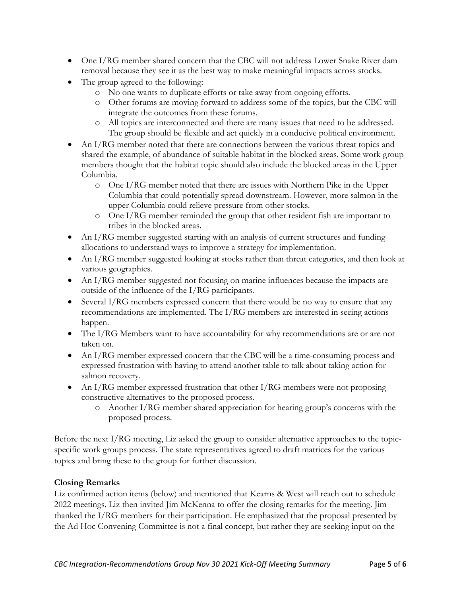- One I/RG member shared concern that the CBC will not address Lower Snake River dam removal because they see it as the best way to make meaningful impacts across stocks.
- The group agreed to the following:
	- o No one wants to duplicate efforts or take away from ongoing efforts.
	- o Other forums are moving forward to address some of the topics, but the CBC will integrate the outcomes from these forums.
	- o All topics are interconnected and there are many issues that need to be addressed. The group should be flexible and act quickly in a conducive political environment.
- An I/RG member noted that there are connections between the various threat topics and shared the example, of abundance of suitable habitat in the blocked areas. Some work group members thought that the habitat topic should also include the blocked areas in the Upper Columbia.
	- o One I/RG member noted that there are issues with Northern Pike in the Upper Columbia that could potentially spread downstream. However, more salmon in the upper Columbia could relieve pressure from other stocks.
	- o One I/RG member reminded the group that other resident fish are important to tribes in the blocked areas.
- An I/RG member suggested starting with an analysis of current structures and funding allocations to understand ways to improve a strategy for implementation.
- An I/RG member suggested looking at stocks rather than threat categories, and then look at various geographies.
- An I/RG member suggested not focusing on marine influences because the impacts are outside of the influence of the I/RG participants.
- Several I/RG members expressed concern that there would be no way to ensure that any recommendations are implemented. The I/RG members are interested in seeing actions happen.
- The I/RG Members want to have accountability for why recommendations are or are not taken on.
- An I/RG member expressed concern that the CBC will be a time-consuming process and expressed frustration with having to attend another table to talk about taking action for salmon recovery.
- An I/RG member expressed frustration that other I/RG members were not proposing constructive alternatives to the proposed process.
	- o Another I/RG member shared appreciation for hearing group's concerns with the proposed process.

Before the next I/RG meeting, Liz asked the group to consider alternative approaches to the topicspecific work groups process. The state representatives agreed to draft matrices for the various topics and bring these to the group for further discussion.

## **Closing Remarks**

Liz confirmed action items (below) and mentioned that Kearns & West will reach out to schedule 2022 meetings. Liz then invited Jim McKenna to offer the closing remarks for the meeting. Jim thanked the I/RG members for their participation. He emphasized that the proposal presented by the Ad Hoc Convening Committee is not a final concept, but rather they are seeking input on the